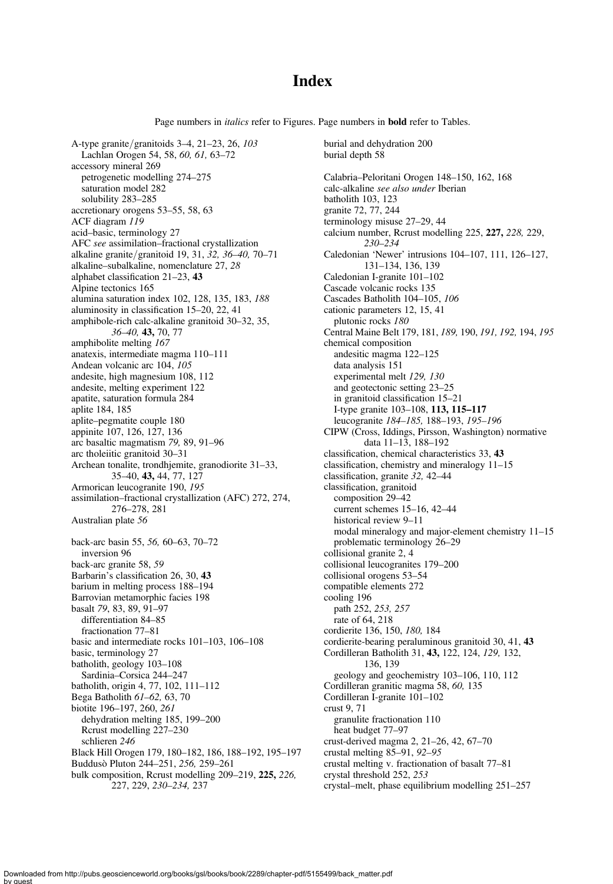# **Index**

Page numbers in *italics* refer to Figures. Page numbers in **bold** refer to Tables.

burial and dehydration 200

A-type granite/granitoids 3–4, 21–23, 26, 103 Lachlan Orogen 54, 58, 60, 61, 63–72 accessory mineral 269 petrogenetic modelling 274–275 saturation model 282 solubility 283–285 accretionary orogens 53–55, 58, 63 ACF diagram 119 acid–basic, terminology 27 AFC see assimilation–fractional crystallization alkaline granite/granitoid 19, 31, 32, 36–40, 70–71 alkaline–subalkaline, nomenclature 27, 28 alphabet classification 21–23, 43 Alpine tectonics 165 alumina saturation index 102, 128, 135, 183, 188 aluminosity in classification 15–20, 22, 41 amphibole-rich calc-alkaline granitoid 30–32, 35, 36–40, 43, 70, 77 amphibolite melting 167 anatexis, intermediate magma 110–111 Andean volcanic arc 104, 105 andesite, high magnesium 108, 112 andesite, melting experiment 122 apatite, saturation formula 284 aplite 184, 185 aplite–pegmatite couple 180 appinite 107, 126, 127, 136 arc basaltic magmatism 79, 89, 91–96 arc tholeiitic granitoid 30–31 Archean tonalite, trondhjemite, granodiorite 31–33, 35–40, 43, 44, 77, 127 Armorican leucogranite 190, 195 assimilation–fractional crystallization (AFC) 272, 274, 276–278, 281 Australian plate 56 back-arc basin 55, 56, 60–63, 70–72 inversion 96 back-arc granite 58, 59 Barbarin's classification 26, 30, 43 barium in melting process 188–194 Barrovian metamorphic facies 198 basalt 79, 83, 89, 91–97 differentiation 84–85 fractionation 77–81 basic and intermediate rocks 101–103, 106–108 basic, terminology 27 batholith, geology 103–108 Sardinia–Corsica 244–247 batholith, origin 4, 77, 102, 111–112 Bega Batholith 61–62, 63, 70 biotite 196–197, 260, 261 dehydration melting 185, 199–200 Rcrust modelling 227–230 schlieren 246 Black Hill Orogen 179, 180–182, 186, 188–192, 195–197 Buddusò Pluton 244–251, 256, 259–261 bulk composition, Rcrust modelling 209–219, 225, 226, 227, 229, 230–234, 237

burial depth 58 Calabria–Peloritani Orogen 148–150, 162, 168 calc-alkaline see also under Iberian batholith 103, 123 granite 72, 77, 244 terminology misuse 27–29, 44 calcium number, Rcrust modelling 225, 227, 228, 229, 230–234 Caledonian 'Newer' intrusions 104–107, 111, 126–127, 131–134, 136, 139 Caledonian I-granite 101–102 Cascade volcanic rocks 135 Cascades Batholith 104–105, 106 cationic parameters 12, 15, 41 plutonic rocks 180 Central Maine Belt 179, 181, 189, 190, 191, 192, 194, 195 chemical composition andesitic magma 122–125 data analysis 151 experimental melt 129, 130 and geotectonic setting 23–25 in granitoid classification 15–21 I-type granite 103–108, 113, 115–117 leucogranite 184–185, 188–193, 195–196 CIPW (Cross, Iddings, Pirsson, Washington) normative data 11–13, 188–192 classification, chemical characteristics 33, 43 classification, chemistry and mineralogy 11–15 classification, granite 32, 42–44 classification, granitoid composition 29–42 current schemes 15–16, 42–44 historical review 9–11 modal mineralogy and major-element chemistry 11–15 problematic terminology 26–29 collisional granite 2, 4 collisional leucogranites 179–200 collisional orogens 53–54 compatible elements 272 cooling 196 path 252, 253, 257 rate of 64, 218 cordierite 136, 150, 180, 184 cordierite-bearing peraluminous granitoid 30, 41, 43 Cordilleran Batholith 31, 43, 122, 124, 129, 132, 136, 139 geology and geochemistry 103–106, 110, 112 Cordilleran granitic magma 58, 60, 135 Cordilleran I-granite 101–102 crust 9, 71 granulite fractionation 110 heat budget 77–97 crust-derived magma 2, 21–26, 42, 67–70 crustal melting 85–91, 92–95 crustal melting v. fractionation of basalt 77–81 crystal threshold 252, 253 crystal–melt, phase equilibrium modelling 251–257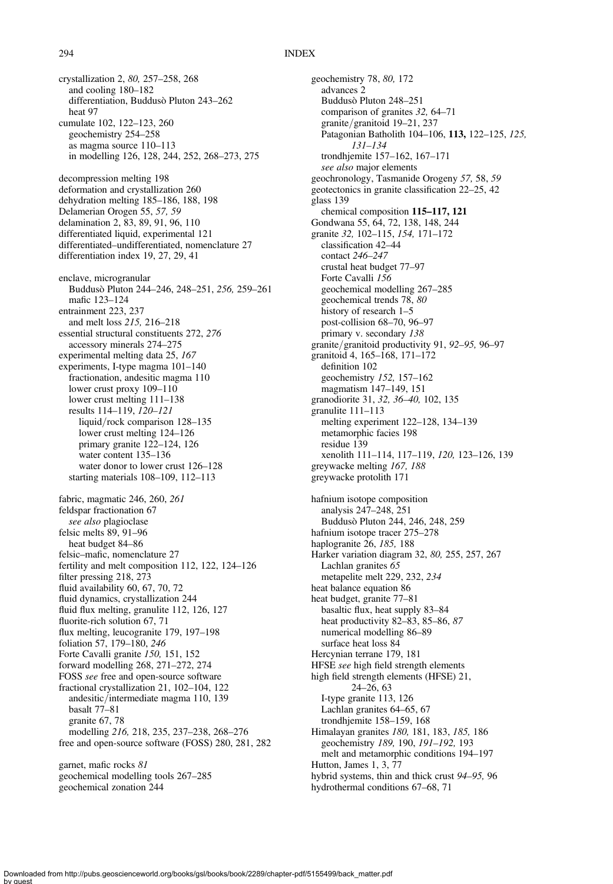## 294 INDEX

crystallization 2, 80, 257–258, 268 and cooling 180–182 differentiation, Buddusò Pluton 243–262 heat 97 cumulate 102, 122–123, 260 geochemistry 254–258 as magma source 110–113 in modelling 126, 128, 244, 252, 268–273, 275 decompression melting 198 deformation and crystallization 260 dehydration melting 185–186, 188, 198 Delamerian Orogen 55, 57, 59 delamination 2, 83, 89, 91, 96, 110 differentiated liquid, experimental 121 differentiated–undifferentiated, nomenclature 27 differentiation index 19, 27, 29, 41 enclave, microgranular Buddusò Pluton 244–246, 248–251, 256, 259–261 mafic 123–124 entrainment 223, 237 and melt loss 215, 216–218 essential structural constituents 272, 276 accessory minerals 274–275 experimental melting data 25, 167 experiments, I-type magma 101–140 fractionation, andesitic magma 110 lower crust proxy 109–110 lower crust melting 111–138 results 114–119, 120–121 liquid/rock comparison 128–135 lower crust melting 124–126 primary granite 122–124, 126 water content 135–136 water donor to lower crust 126–128 starting materials 108–109, 112–113 fabric, magmatic 246, 260, 261 feldspar fractionation 67 see also plagioclase felsic melts 89, 91–96 heat budget 84–86 felsic–mafic, nomenclature 27 fertility and melt composition 112, 122, 124–126 filter pressing 218, 273 fluid availability 60, 67, 70, 72 fluid dynamics, crystallization 244 fluid flux melting, granulite 112, 126, 127 fluorite-rich solution 67, 71 flux melting, leucogranite 179, 197–198 foliation 57, 179–180, 246 Forte Cavalli granite 150, 151, 152 forward modelling 268, 271–272, 274 FOSS see free and open-source software fractional crystallization 21, 102–104, 122 andesitic/intermediate magma 110, 139 basalt 77–81 granite 67, 78 modelling 216, 218, 235, 237–238, 268–276 free and open-source software (FOSS) 280, 281, 282 garnet, mafic rocks 81 geochemical modelling tools 267–285 geochemical zonation 244

geochemistry 78, 80, 172 advances 2 Buddusò Pluton 248–251 comparison of granites 32, 64–71 granite/granitoid 19–21, 237 Patagonian Batholith 104–106, 113, 122–125, 125, 131–134 trondhjemite 157–162, 167–171 see also major elements geochronology, Tasmanide Orogeny 57, 58, 59 geotectonics in granite classification 22–25, 42 glass 139 chemical composition 115–117, 121 Gondwana 55, 64, 72, 138, 148, 244 granite 32, 102–115, 154, 171–172 classification 42–44 contact 246–247 crustal heat budget 77–97 Forte Cavalli 156 geochemical modelling 267–285 geochemical trends 78, 80 history of research 1–5 post-collision 68–70, 96–97 primary v. secondary 138 granite/granitoid productivity 91, 92–95, 96–97 granitoid 4, 165–168, 171–172 definition 102 geochemistry 152, 157–162 magmatism 147–149, 151 granodiorite 31, 32, 36–40, 102, 135 granulite 111–113 melting experiment 122–128, 134–139 metamorphic facies 198 residue 139 xenolith 111–114, 117–119, 120, 123–126, 139 greywacke melting 167, 188 greywacke protolith 171 hafnium isotope composition analysis 247–248, 251 Buddusò Pluton 244, 246, 248, 259 hafnium isotope tracer 275–278 haplogranite 26, 185, 188 Harker variation diagram 32, 80, 255, 257, 267 Lachlan granites 65 metapelite melt 229, 232, 234 heat balance equation 86 heat budget, granite 77–81 basaltic flux, heat supply 83–84 heat productivity 82–83, 85–86, 87 numerical modelling 86–89 surface heat loss 84 Hercynian terrane 179, 181 HFSE see high field strength elements high field strength elements (HFSE) 21,  $24-26, 63$ I-type granite 113, 126 Lachlan granites 64–65, 67 trondhjemite 158–159, 168 Himalayan granites 180, 181, 183, 185, 186 geochemistry 189, 190, 191–192, 193 melt and metamorphic conditions 194–197 Hutton, James 1, 3, 77 hybrid systems, thin and thick crust 94–95, 96 hydrothermal conditions 67–68, 71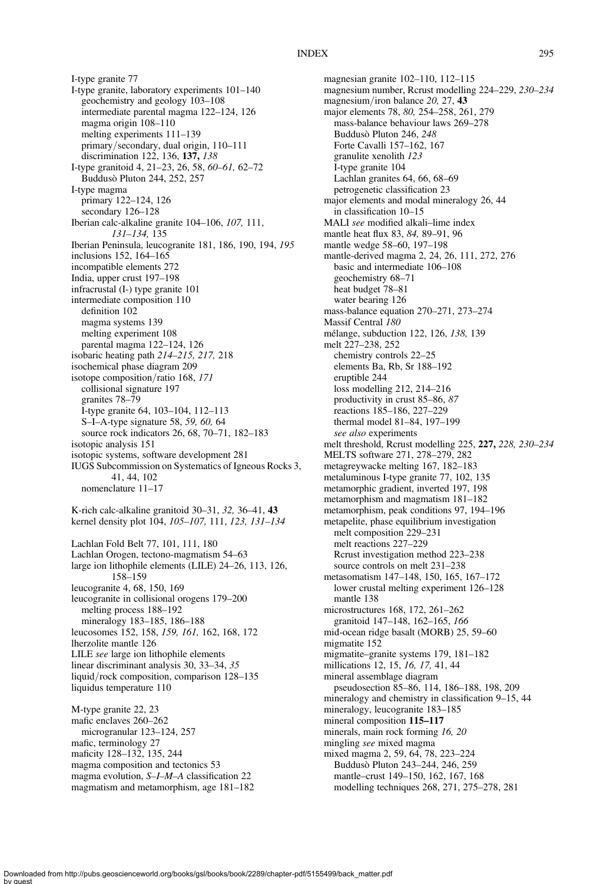I-type granite 77 I-type granite, laboratory experiments 101–140 geochemistry and geology 103–108 intermediate parental magma 122–124, 126 magma origin 108–110 melting experiments 111–139 primary/secondary, dual origin, 110–111 discrimination 122, 136, 137, 138 I-type granitoid 4, 21–23, 26, 58, 60–61, 62–72 Buddusò Pluton 244, 252, 257 I-type magma primary 122–124, 126 secondary 126–128 Iberian calc-alkaline granite 104–106, 107, 111, 131–134, 135 Iberian Peninsula, leucogranite 181, 186, 190, 194, 195 inclusions 152, 164–165 incompatible elements 272 India, upper crust 197–198 infracrustal (I-) type granite 101 intermediate composition 110 definition 102 magma systems 139 melting experiment 108 parental magma 122–124, 126 isobaric heating path 214–215, 217, 218 isochemical phase diagram 209 isotope composition/ratio 168, 171 collisional signature 197 granites 78–79 I-type granite 64, 103–104, 112–113 S–I–A-type signature 58, 59, 60, 64 source rock indicators 26, 68, 70–71, 182–183 isotopic analysis 151 isotopic systems, software development 281 IUGS Subcommission on Systematics of Igneous Rocks 3, 41, 44, 102 nomenclature 11–17 K-rich calc-alkaline granitoid 30–31, 32, 36–41, 43 kernel density plot 104, 105–107, 111, 123, 131–134 Lachlan Fold Belt 77, 101, 111, 180 Lachlan Orogen, tectono-magmatism 54–63 large ion lithophile elements (LILE) 24–26, 113, 126, 158–159 leucogranite 4, 68, 150, 169 leucogranite in collisional orogens 179–200 melting process 188–192 mineralogy 183–185, 186–188 leucosomes 152, 158, 159, 161, 162, 168, 172 lherzolite mantle 126 LILE see large ion lithophile elements linear discriminant analysis 30, 33–34, 35 liquid/rock composition, comparison 128–135 liquidus temperature 110 M-type granite 22, 23 mafic enclaves 260–262 microgranular 123–124, 257 mafic, terminology 27

maficity 128–132, 135, 244 magma composition and tectonics 53 magma evolution, S–I–M–A classification 22 magmatism and metamorphism, age 181–182 magnesian granite 102–110, 112–115 magnesium number, Rcrust modelling 224–229, 230–234 magnesium/iron balance 20, 27, 43 major elements 78, 80, 254–258, 261, 279 mass-balance behaviour laws 269–278 Buddusò Pluton 246, 248 Forte Cavalli 157–162, 167 granulite xenolith 123 I-type granite 104 Lachlan granites 64, 66, 68–69 petrogenetic classification 23 major elements and modal mineralogy 26, 44 in classification 10–15 MALI see modified alkali–lime index mantle heat flux 83, 84, 89–91, 96 mantle wedge 58–60, 197–198 mantle-derived magma 2, 24, 26, 111, 272, 276 basic and intermediate 106–108 geochemistry 68–71 heat budget 78–81 water bearing 126 mass-balance equation 270–271, 273–274 Massif Central 180 mélange, subduction 122, 126, 138, 139 melt 227–238, 252 chemistry controls 22–25 elements Ba, Rb, Sr 188–192 eruptible 244 loss modelling 212, 214–216 productivity in crust 85–86, 87 reactions 185–186, 227–229 thermal model 81–84, 197–199 see also experiments melt threshold, Rcrust modelling 225, 227, 228, 230–234 MELTS software 271, 278–279, 282 metagreywacke melting 167, 182–183 metaluminous I-type granite 77, 102, 135 metamorphic gradient, inverted 197, 198 metamorphism and magmatism 181–182 metamorphism, peak conditions 97, 194–196 metapelite, phase equilibrium investigation melt composition 229–231 melt reactions 227–229 Rcrust investigation method 223–238 source controls on melt 231–238 metasomatism 147–148, 150, 165, 167–172 lower crustal melting experiment 126–128 mantle 138 microstructures 168, 172, 261–262 granitoid 147–148, 162–165, 166 mid-ocean ridge basalt (MORB) 25, 59–60 migmatite 152 migmatite–granite systems 179, 181–182 millications 12, 15, 16, 17, 41, 44 mineral assemblage diagram pseudosection 85–86, 114, 186–188, 198, 209 mineralogy and chemistry in classification 9–15, 44 mineralogy, leucogranite 183–185 mineral composition 115–117 minerals, main rock forming 16, 20 mingling see mixed magma mixed magma 2, 59, 64, 78, 223–224 Buddusò Pluton 243–244, 246, 259 mantle–crust 149–150, 162, 167, 168 modelling techniques 268, 271, 275–278, 281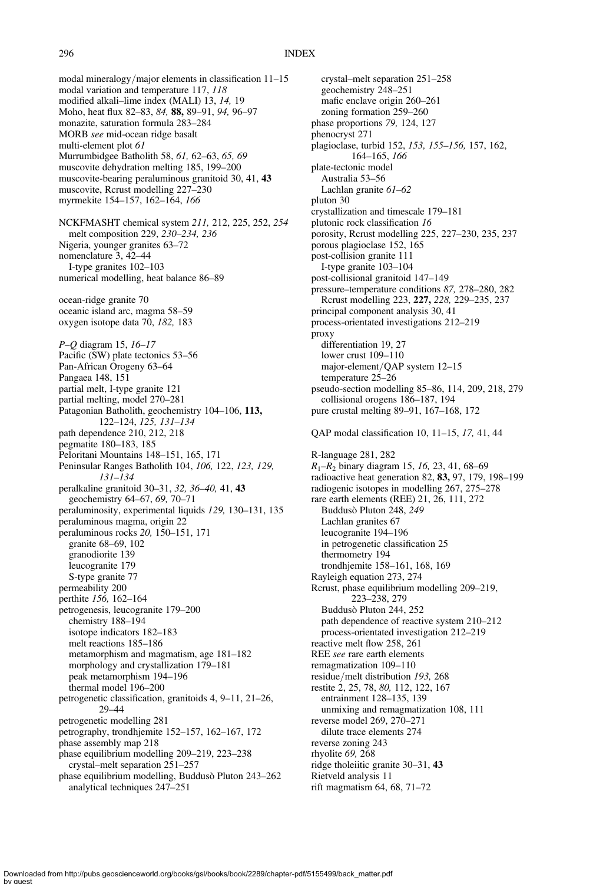modal mineralogy/major elements in classification 11–15 modal variation and temperature 117, 118 modified alkali–lime index (MALI) 13, 14, 19 Moho, heat flux 82–83, 84, 88, 89–91, 94, 96–97 monazite, saturation formula 283–284 MORB see mid-ocean ridge basalt multi-element plot 61 Murrumbidgee Batholith 58, 61, 62–63, 65, 69 muscovite dehydration melting 185, 199–200 muscovite-bearing peraluminous granitoid 30, 41, 43 muscovite, Rcrust modelling 227–230 myrmekite 154–157, 162–164, 166 NCKFMASHT chemical system 211, 212, 225, 252, 254 melt composition 229, 230–234, 236 Nigeria, younger granites 63–72 nomenclature 3, 42–44 I-type granites 102–103 numerical modelling, heat balance 86–89 ocean-ridge granite 70 oceanic island arc, magma 58–59 oxygen isotope data 70, 182, 183 P–Q diagram 15, 16–17 Pacific (SW) plate tectonics 53–56 Pan-African Orogeny 63–64 Pangaea 148, 151 partial melt, I-type granite 121 partial melting, model 270–281 Patagonian Batholith, geochemistry 104–106, 113, 122–124, 125, 131–134 path dependence 210, 212, 218 pegmatite 180–183, 185 Peloritani Mountains 148–151, 165, 171 Peninsular Ranges Batholith 104, 106, 122, 123, 129, 131–134 peralkaline granitoid 30–31, 32, 36–40, 41, 43 geochemistry 64–67, 69, 70–71 peraluminosity, experimental liquids 129, 130–131, 135 peraluminous magma, origin 22 peraluminous rocks 20, 150–151, 171 granite 68–69, 102 granodiorite 139 leucogranite 179 S-type granite 77 permeability 200 perthite 156, 162–164 petrogenesis, leucogranite 179–200 chemistry 188–194 isotope indicators 182–183 melt reactions 185–186 metamorphism and magmatism, age 181–182 morphology and crystallization 179–181 peak metamorphism 194–196 thermal model 196–200 petrogenetic classification, granitoids 4, 9–11, 21–26, 29–44 petrogenetic modelling 281 petrography, trondhjemite 152–157, 162–167, 172 phase assembly map 218 phase equilibrium modelling 209–219, 223–238 crystal–melt separation 251–257 phase equilibrium modelling, Buddusò Pluton 243–262 analytical techniques 247–251

crystal–melt separation 251–258 geochemistry 248–251 mafic enclave origin 260–261 zoning formation 259–260 phase proportions 79, 124, 127 phenocryst 271 plagioclase, turbid 152, 153, 155–156, 157, 162, 164–165, 166 plate-tectonic model Australia 53–56 Lachlan granite 61–62 pluton 30 crystallization and timescale 179–181 plutonic rock classification 16 porosity, Rcrust modelling 225, 227–230, 235, 237 porous plagioclase 152, 165 post-collision granite 111 I-type granite 103–104 post-collisional granitoid 147–149 pressure–temperature conditions 87, 278–280, 282 Rcrust modelling 223, 227, 228, 229–235, 237 principal component analysis 30, 41 process-orientated investigations 212–219 proxy differentiation 19, 27 lower crust 109–110 major-element/QAP system 12–15 temperature 25–26 pseudo-section modelling 85–86, 114, 209, 218, 279 collisional orogens 186–187, 194 pure crustal melting 89–91, 167–168, 172 QAP modal classification 10, 11–15, 17, 41, 44 R-language 281, 282  $R_1-R_2$  binary diagram 15, 16, 23, 41, 68–69 radioactive heat generation 82, 83, 97, 179, 198–199 radiogenic isotopes in modelling 267, 275–278 rare earth elements (REE) 21, 26, 111, 272 Buddusò Pluton 248, 249 Lachlan granites 67 leucogranite 194–196 in petrogenetic classification 25 thermometry 194 trondhjemite 158–161, 168, 169 Rayleigh equation 273, 274 Rcrust, phase equilibrium modelling 209–219, 223–238, 279 Buddusò Pluton 244, 252 path dependence of reactive system 210–212 process-orientated investigation 212–219 reactive melt flow 258, 261 REE see rare earth elements remagmatization 109–110 residue/melt distribution 193, 268 restite 2, 25, 78, 80, 112, 122, 167 entrainment 128–135, 139 unmixing and remagmatization 108, 111 reverse model 269, 270–271 dilute trace elements 274 reverse zoning 243 rhyolite 69, 268 ridge tholeiitic granite 30–31, 43 Rietveld analysis 11

rift magmatism 64, 68, 71–72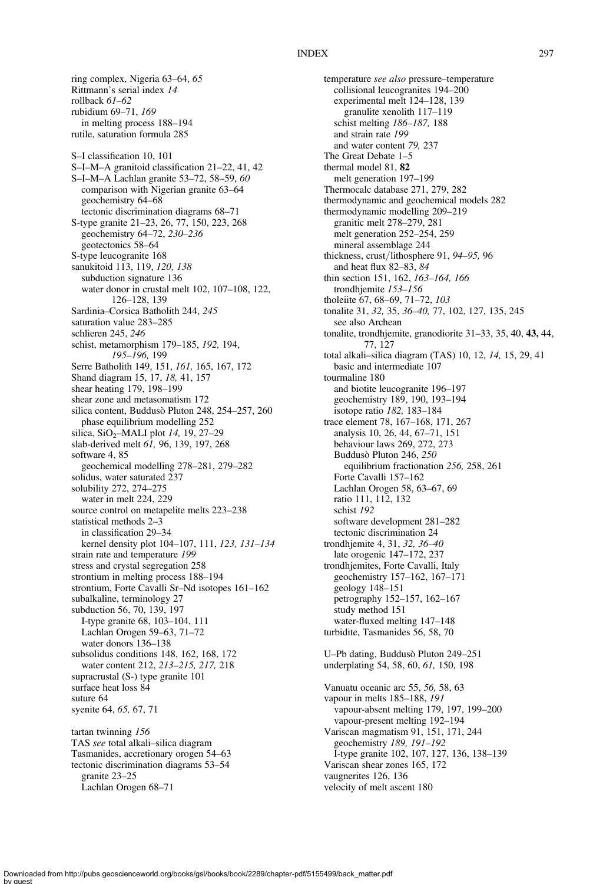#### INDEX 297

ring complex, Nigeria 63–64, 65 Rittmann's serial index 14 rollback 61–62 rubidium 69–71, 169 in melting process 188–194 rutile, saturation formula 285 S–I classification 10, 101 S–I–M–A granitoid classification 21–22, 41, 42 S–I–M–A Lachlan granite 53–72, 58–59, 60 comparison with Nigerian granite 63–64 geochemistry 64–68 tectonic discrimination diagrams 68–71 S-type granite 21–23, 26, 77, 150, 223, 268 geochemistry 64–72, 230–236 geotectonics 58–64 S-type leucogranite 168 sanukitoid 113, 119, 120, 138 subduction signature 136 water donor in crustal melt 102, 107–108, 122, 126–128, 139 Sardinia–Corsica Batholith 244, 245 saturation value 283–285 schlieren 245, 246 schist, metamorphism 179–185, 192, 194, 195–196, 199 Serre Batholith 149, 151, 161, 165, 167, 172 Shand diagram 15, 17, 18, 41, 157 shear heating 179, 198–199 shear zone and metasomatism 172 silica content, Buddusò Pluton 248, 254–257, 260 phase equilibrium modelling 252 silica, SiO<sub>2</sub>–MALI plot  $14$ , 19, 27–29 slab-derived melt 61, 96, 139, 197, 268 software 4, 85 geochemical modelling 278–281, 279–282 solidus, water saturated 237 solubility 272, 274–275 water in melt 224, 229 source control on metapelite melts 223–238 statistical methods 2–3 in classification 29–34 kernel density plot 104–107, 111, 123, 131–134 strain rate and temperature 199 stress and crystal segregation 258 strontium in melting process 188–194 strontium, Forte Cavalli Sr–Nd isotopes 161–162 subalkaline, terminology 27 subduction 56, 70, 139, 197 I-type granite 68, 103–104, 111 Lachlan Orogen 59–63, 71–72 water donors 136–138 subsolidus conditions 148, 162, 168, 172 water content 212, 213–215, 217, 218 supracrustal (S-) type granite 101 surface heat loss 84 suture 64 syenite 64, 65, 67, 71 tartan twinning 156 TAS see total alkali–silica diagram Tasmanides, accretionary orogen 54–63 tectonic discrimination diagrams 53–54 granite 23–25 Lachlan Orogen 68–71

temperature see also pressure–temperature collisional leucogranites 194–200 experimental melt 124–128, 139 granulite xenolith 117–119 schist melting 186–187, 188 and strain rate 199 and water content 79, 237 The Great Debate 1–5 thermal model 81, 82 melt generation 197–199 Thermocalc database 271, 279, 282 thermodynamic and geochemical models 282 thermodynamic modelling 209–219 granitic melt 278–279, 281 melt generation 252–254, 259 mineral assemblage 244 thickness, crust/lithosphere 91, 94–95, 96 and heat flux 82–83, 84 thin section 151, 162, 163–164, 166 trondhjemite 153–156 tholeiite 67, 68–69, 71–72, 103 tonalite 31, 32, 35, 36–40, 77, 102, 127, 135, 245 see also Archean tonalite, trondhjemite, granodiorite 31–33, 35, 40, 43, 44, 77, 127 total alkali–silica diagram (TAS) 10, 12, 14, 15, 29, 41 basic and intermediate 107 tourmaline 180 and biotite leucogranite 196–197 geochemistry 189, 190, 193–194 isotope ratio 182, 183–184 trace element 78, 167–168, 171, 267 analysis 10, 26, 44, 67–71, 151 behaviour laws 269, 272, 273 Buddusò Pluton 246, 250 equilibrium fractionation 256, 258, 261 Forte Cavalli 157–162 Lachlan Orogen 58, 63–67, 69 ratio 111, 112, 132 schist 192 software development 281–282 tectonic discrimination 24 trondhjemite 4, 31, 32, 36–40 late orogenic 147–172, 237 trondhjemites, Forte Cavalli, Italy geochemistry 157–162, 167–171 geology 148–151 petrography 152–157, 162–167 study method 151 water-fluxed melting 147–148 turbidite, Tasmanides 56, 58, 70 U–Pb dating, Buddusò Pluton 249–251 underplating 54, 58, 60, 61, 150, 198 Vanuatu oceanic arc 55, 56, 58, 63 vapour in melts 185–188, 191 vapour-absent melting 179, 197, 199–200 vapour-present melting 192–194 Variscan magmatism 91, 151, 171, 244 geochemistry 189, 191–192 I-type granite 102, 107, 127, 136, 138–139 Variscan shear zones 165, 172 vaugnerites 126, 136 velocity of melt ascent 180